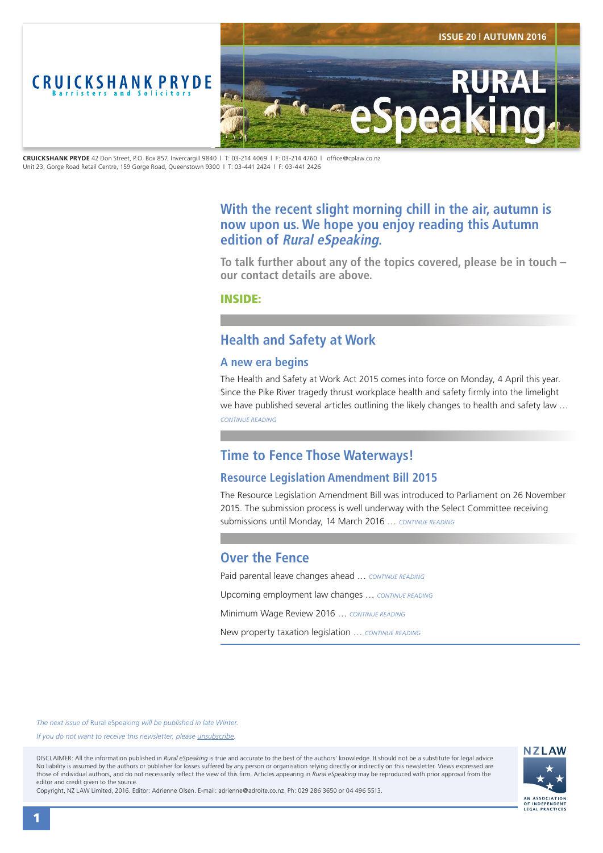<span id="page-0-0"></span>

**CRUICKSHANK PRYDE** 42 Don Street, P.O. Box 857, Invercargill 9840 | T: 03-214 4069 | F: 03-214 4760 | office@cplaw.co.nz Unit 23, Gorge Road Retail Centre, 159 Gorge Road, Queenstown 9300 | T: 03-441 2424 | F: 03-441 2426

# **With the recent slight morning chill in the air, autumn is now upon us. We hope you enjoy reading this Autumn edition of Rural eSpeaking.**

**To talk further about any of the topics covered, please be in touch – our contact details are above.**

INSIDE:

# **Health and Safety at Work**

### **A new era begins**

The Health and Safety at Work Act 2015 comes into force on Monday, 4 April this year. Since the Pike River tragedy thrust workplace health and safety firmly into the limelight we have published several articles outlining the likely changes to health and safety law … *[CONTINUE READING](#page-1-0)*

# **Time to Fence Those Waterways!**

## **Resource Legislation Amendment Bill 2015**

The Resource Legislation Amendment Bill was introduced to Parliament on 26 November 2015. The submission process is well underway with the Select Committee receiving submissions until Monday, 14 March 2016 … *[CONTINUE READING](#page-2-0)*

# **Over the Fence**

Paid parental leave changes ahead … *[CONTINUE READING](#page-3-0)*

Upcoming employment law changes … *[CONTINUE READING](#page-3-0)*

Minimum Wage Review 2016 … *[CONTINUE READING](#page-3-0)*

New property taxation legislation … *[CONTINUE READING](#page-3-0)*

*The next issue of* Rural eSpeaking *will be published in late Winter.*

*If you do not want to receive this newsletter, please <i>unsubscribe*.

DISCLAIMER: All the information published in *Rural eSpeaking* is true and accurate to the best of the authors' knowledge. It should not be a substitute for legal advice. No liability is assumed by the authors or publisher for losses suffered by any person or organisation relying directly or indirectly on this newsletter. Views expressed are those of individual authors, and do not necessarily reflect the view of this firm. Articles appearing in *Rural eSpeaking* may be reproduced with prior approval from the editor and credit given to the source.



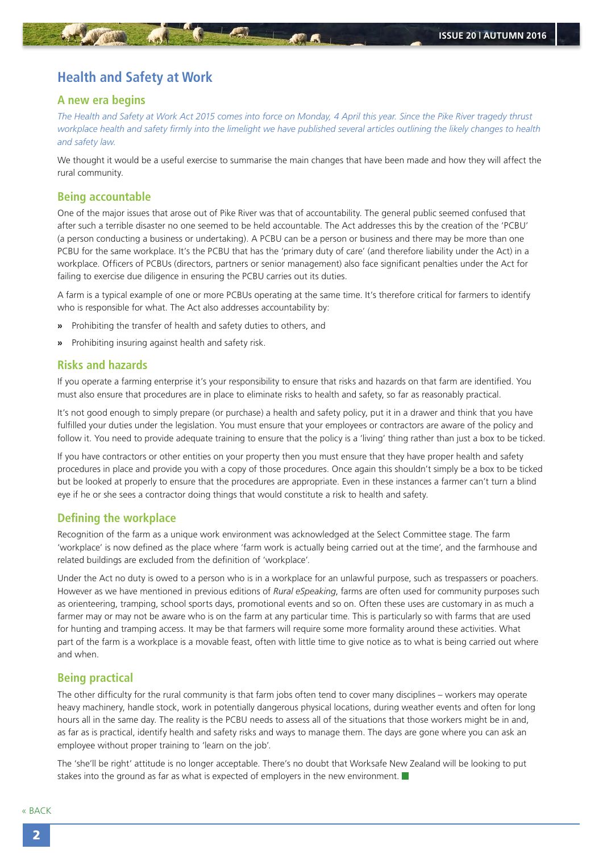## <span id="page-1-0"></span>**Health and Safety at Work**

### **A new era begins**

*The Health and Safety at Work Act 2015 comes into force on Monday, 4 April this year. Since the Pike River tragedy thrust workplace health and safety firmly into the limelight we have published several articles outlining the likely changes to health and safety law.*

We thought it would be a useful exercise to summarise the main changes that have been made and how they will affect the rural community.

#### **Being accountable**

One of the major issues that arose out of Pike River was that of accountability. The general public seemed confused that after such a terrible disaster no one seemed to be held accountable. The Act addresses this by the creation of the 'PCBU' (a person conducting a business or undertaking). A PCBU can be a person or business and there may be more than one PCBU for the same workplace. It's the PCBU that has the 'primary duty of care' (and therefore liability under the Act) in a workplace. Officers of PCBUs (directors, partners or senior management) also face significant penalties under the Act for failing to exercise due diligence in ensuring the PCBU carries out its duties.

A farm is a typical example of one or more PCBUs operating at the same time. It's therefore critical for farmers to identify who is responsible for what. The Act also addresses accountability by:

- **»** Prohibiting the transfer of health and safety duties to others, and
- **»** Prohibiting insuring against health and safety risk.

#### **Risks and hazards**

If you operate a farming enterprise it's your responsibility to ensure that risks and hazards on that farm are identified. You must also ensure that procedures are in place to eliminate risks to health and safety, so far as reasonably practical.

It's not good enough to simply prepare (or purchase) a health and safety policy, put it in a drawer and think that you have fulfilled your duties under the legislation. You must ensure that your employees or contractors are aware of the policy and follow it. You need to provide adequate training to ensure that the policy is a 'living' thing rather than just a box to be ticked.

If you have contractors or other entities on your property then you must ensure that they have proper health and safety procedures in place and provide you with a copy of those procedures. Once again this shouldn't simply be a box to be ticked but be looked at properly to ensure that the procedures are appropriate. Even in these instances a farmer can't turn a blind eye if he or she sees a contractor doing things that would constitute a risk to health and safety.

### **Defining the workplace**

Recognition of the farm as a unique work environment was acknowledged at the Select Committee stage. The farm 'workplace' is now defined as the place where 'farm work is actually being carried out at the time', and the farmhouse and related buildings are excluded from the definition of 'workplace'.

Under the Act no duty is owed to a person who is in a workplace for an unlawful purpose, such as trespassers or poachers. However as we have mentioned in previous editions of *Rural eSpeaking*, farms are often used for community purposes such as orienteering, tramping, school sports days, promotional events and so on. Often these uses are customary in as much a farmer may or may not be aware who is on the farm at any particular time. This is particularly so with farms that are used for hunting and tramping access. It may be that farmers will require some more formality around these activities. What part of the farm is a workplace is a movable feast, often with little time to give notice as to what is being carried out where and when.

### **Being practical**

The other difficulty for the rural community is that farm jobs often tend to cover many disciplines – workers may operate heavy machinery, handle stock, work in potentially dangerous physical locations, during weather events and often for long hours all in the same day. The reality is the PCBU needs to assess all of the situations that those workers might be in and, as far as is practical, identify health and safety risks and ways to manage them. The days are gone where you can ask an employee without proper training to 'learn on the job'.

The 'she'll be right' attitude is no longer acceptable. There's no doubt that Worksafe New Zealand will be looking to put stakes into the ground as far as what is expected of employers in the new environment.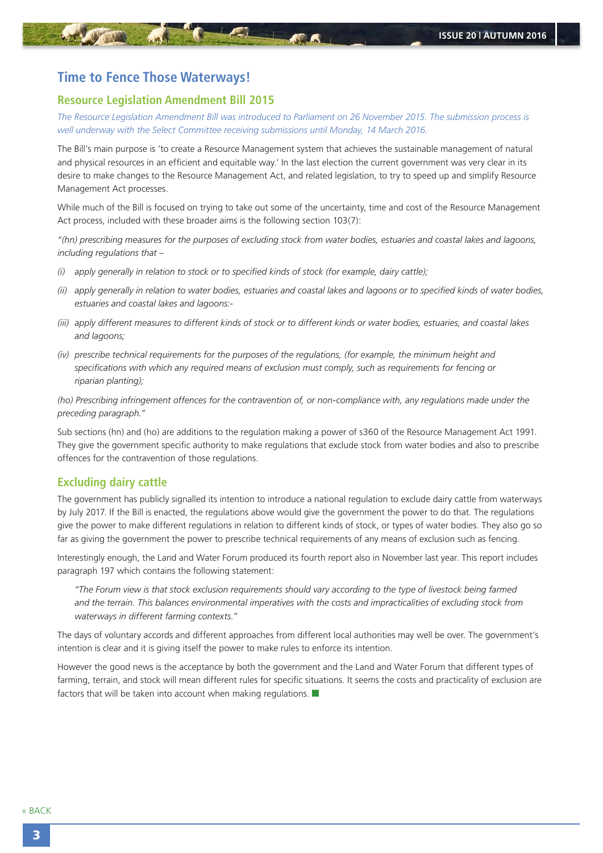## <span id="page-2-0"></span>**Time to Fence Those Waterways!**

#### **Resource Legislation Amendment Bill 2015**

*The Resource Legislation Amendment Bill was introduced to Parliament on 26 November 2015. The submission process is well underway with the Select Committee receiving submissions until Monday, 14 March 2016.*

The Bill's main purpose is 'to create a Resource Management system that achieves the sustainable management of natural and physical resources in an efficient and equitable way.' In the last election the current government was very clear in its desire to make changes to the Resource Management Act, and related legislation, to try to speed up and simplify Resource Management Act processes.

While much of the Bill is focused on trying to take out some of the uncertainty, time and cost of the Resource Management Act process, included with these broader aims is the following section 103(7):

*"(hn) prescribing measures for the purposes of excluding stock from water bodies, estuaries and coastal lakes and lagoons, including regulations that –*

- *(i) apply generally in relation to stock or to specified kinds of stock (for example, dairy cattle);*
- *(ii) apply generally in relation to water bodies, estuaries and coastal lakes and lagoons or to specified kinds of water bodies, estuaries and coastal lakes and lagoons:-*
- *(iii) apply different measures to different kinds of stock or to different kinds or water bodies, estuaries, and coastal lakes and lagoons;*
- *(iv) prescribe technical requirements for the purposes of the regulations, (for example, the minimum height and specifications with which any required means of exclusion must comply, such as requirements for fencing or riparian planting);*

*(ho) Prescribing infringement offences for the contravention of, or non-compliance with, any regulations made under the preceding paragraph."*

Sub sections (hn) and (ho) are additions to the regulation making a power of s360 of the Resource Management Act 1991. They give the government specific authority to make regulations that exclude stock from water bodies and also to prescribe offences for the contravention of those regulations.

### **Excluding dairy cattle**

The government has publicly signalled its intention to introduce a national regulation to exclude dairy cattle from waterways by July 2017. If the Bill is enacted, the regulations above would give the government the power to do that. The regulations give the power to make different regulations in relation to different kinds of stock, or types of water bodies. They also go so far as giving the government the power to prescribe technical requirements of any means of exclusion such as fencing.

Interestingly enough, the Land and Water Forum produced its fourth report also in November last year. This report includes paragraph 197 which contains the following statement:

*"The Forum view is that stock exclusion requirements should vary according to the type of livestock being farmed and the terrain. This balances environmental imperatives with the costs and impracticalities of excluding stock from waterways in different farming contexts."*

The days of voluntary accords and different approaches from different local authorities may well be over. The government's intention is clear and it is giving itself the power to make rules to enforce its intention.

However the good news is the acceptance by both the government and the Land and Water Forum that different types of farming, terrain, and stock will mean different rules for specific situations. It seems the costs and practicality of exclusion are factors that will be taken into account when making regulations.  $\blacksquare$